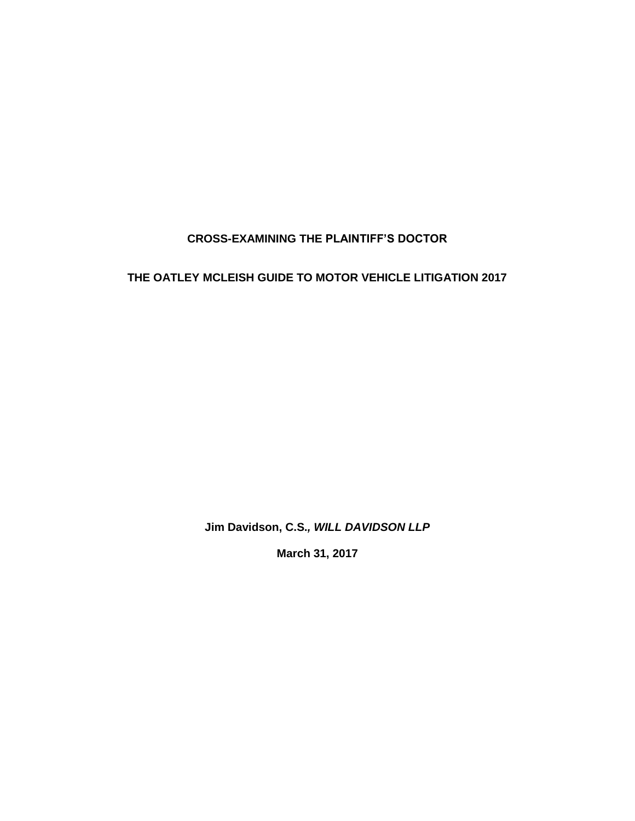# **CROSS-EXAMINING THE PLAINTIFF'S DOCTOR**

# **THE OATLEY MCLEISH GUIDE TO MOTOR VEHICLE LITIGATION 2017**

**Jim Davidson, C.S.***, WILL DAVIDSON LLP*

**March 31, 2017**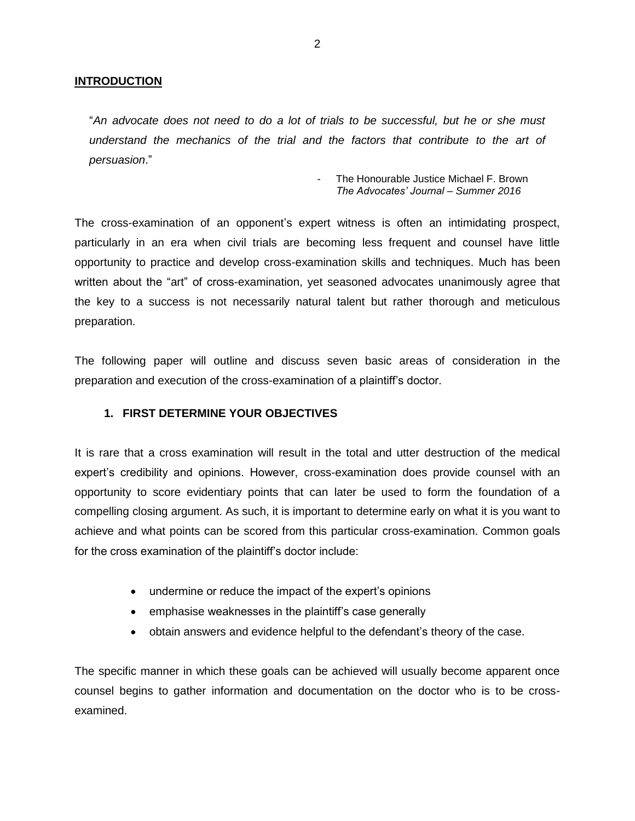#### **INTRODUCTION**

"*An advocate does not need to do a lot of trials to be successful, but he or she must understand the mechanics of the trial and the factors that contribute to the art of persuasion*."

> The Honourable Justice Michael F. Brown *The Advocates' Journal – Summer 2016*

The cross-examination of an opponent's expert witness is often an intimidating prospect, particularly in an era when civil trials are becoming less frequent and counsel have little opportunity to practice and develop cross-examination skills and techniques. Much has been written about the "art" of cross-examination, yet seasoned advocates unanimously agree that the key to a success is not necessarily natural talent but rather thorough and meticulous preparation.

The following paper will outline and discuss seven basic areas of consideration in the preparation and execution of the cross-examination of a plaintiff's doctor.

#### **1. FIRST DETERMINE YOUR OBJECTIVES**

It is rare that a cross examination will result in the total and utter destruction of the medical expert's credibility and opinions. However, cross-examination does provide counsel with an opportunity to score evidentiary points that can later be used to form the foundation of a compelling closing argument. As such, it is important to determine early on what it is you want to achieve and what points can be scored from this particular cross-examination. Common goals for the cross examination of the plaintiff's doctor include:

- undermine or reduce the impact of the expert's opinions
- emphasise weaknesses in the plaintiff's case generally
- obtain answers and evidence helpful to the defendant's theory of the case.

The specific manner in which these goals can be achieved will usually become apparent once counsel begins to gather information and documentation on the doctor who is to be crossexamined.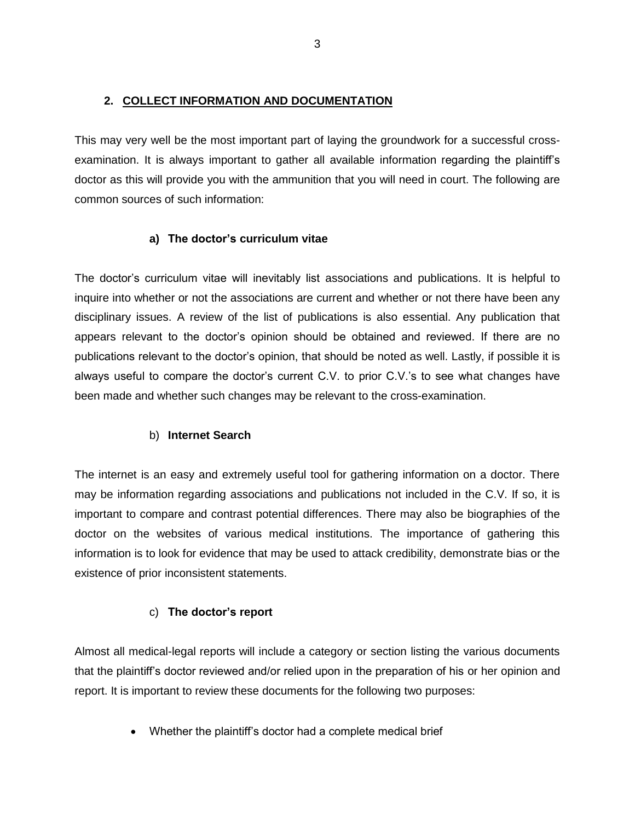## **2. COLLECT INFORMATION AND DOCUMENTATION**

This may very well be the most important part of laying the groundwork for a successful crossexamination. It is always important to gather all available information regarding the plaintiff's doctor as this will provide you with the ammunition that you will need in court. The following are common sources of such information:

## **a) The doctor's curriculum vitae**

The doctor's curriculum vitae will inevitably list associations and publications. It is helpful to inquire into whether or not the associations are current and whether or not there have been any disciplinary issues. A review of the list of publications is also essential. Any publication that appears relevant to the doctor's opinion should be obtained and reviewed. If there are no publications relevant to the doctor's opinion, that should be noted as well. Lastly, if possible it is always useful to compare the doctor's current C.V. to prior C.V.'s to see what changes have been made and whether such changes may be relevant to the cross-examination.

## b) **Internet Search**

The internet is an easy and extremely useful tool for gathering information on a doctor. There may be information regarding associations and publications not included in the C.V. If so, it is important to compare and contrast potential differences. There may also be biographies of the doctor on the websites of various medical institutions. The importance of gathering this information is to look for evidence that may be used to attack credibility, demonstrate bias or the existence of prior inconsistent statements.

## c) **The doctor's report**

Almost all medical-legal reports will include a category or section listing the various documents that the plaintiff's doctor reviewed and/or relied upon in the preparation of his or her opinion and report. It is important to review these documents for the following two purposes:

• Whether the plaintiff's doctor had a complete medical brief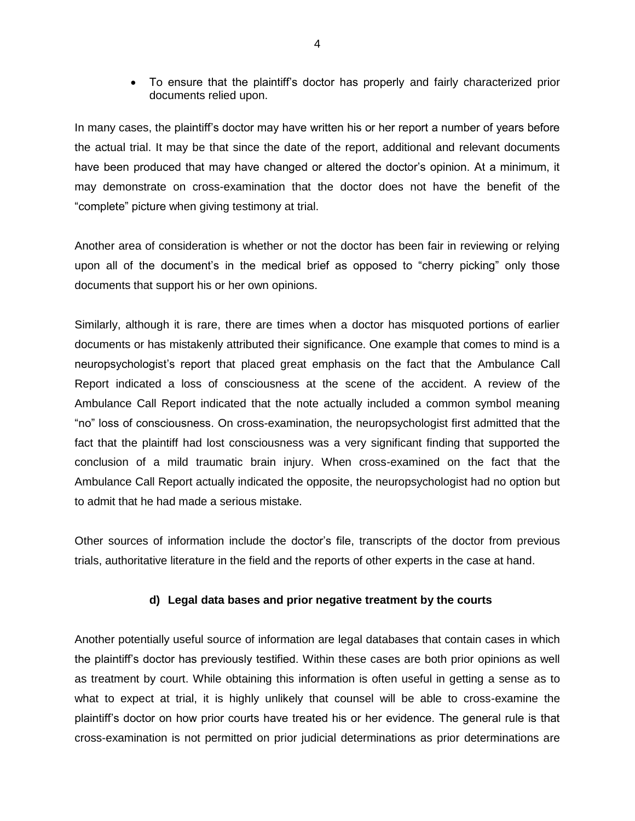• To ensure that the plaintiff's doctor has properly and fairly characterized prior documents relied upon.

In many cases, the plaintiff's doctor may have written his or her report a number of years before the actual trial. It may be that since the date of the report, additional and relevant documents have been produced that may have changed or altered the doctor's opinion. At a minimum, it may demonstrate on cross-examination that the doctor does not have the benefit of the "complete" picture when giving testimony at trial.

Another area of consideration is whether or not the doctor has been fair in reviewing or relying upon all of the document's in the medical brief as opposed to "cherry picking" only those documents that support his or her own opinions.

Similarly, although it is rare, there are times when a doctor has misquoted portions of earlier documents or has mistakenly attributed their significance. One example that comes to mind is a neuropsychologist's report that placed great emphasis on the fact that the Ambulance Call Report indicated a loss of consciousness at the scene of the accident. A review of the Ambulance Call Report indicated that the note actually included a common symbol meaning "no" loss of consciousness. On cross-examination, the neuropsychologist first admitted that the fact that the plaintiff had lost consciousness was a very significant finding that supported the conclusion of a mild traumatic brain injury. When cross-examined on the fact that the Ambulance Call Report actually indicated the opposite, the neuropsychologist had no option but to admit that he had made a serious mistake.

Other sources of information include the doctor's file, transcripts of the doctor from previous trials, authoritative literature in the field and the reports of other experts in the case at hand.

#### **d) Legal data bases and prior negative treatment by the courts**

Another potentially useful source of information are legal databases that contain cases in which the plaintiff's doctor has previously testified. Within these cases are both prior opinions as well as treatment by court. While obtaining this information is often useful in getting a sense as to what to expect at trial, it is highly unlikely that counsel will be able to cross-examine the plaintiff's doctor on how prior courts have treated his or her evidence. The general rule is that cross-examination is not permitted on prior judicial determinations as prior determinations are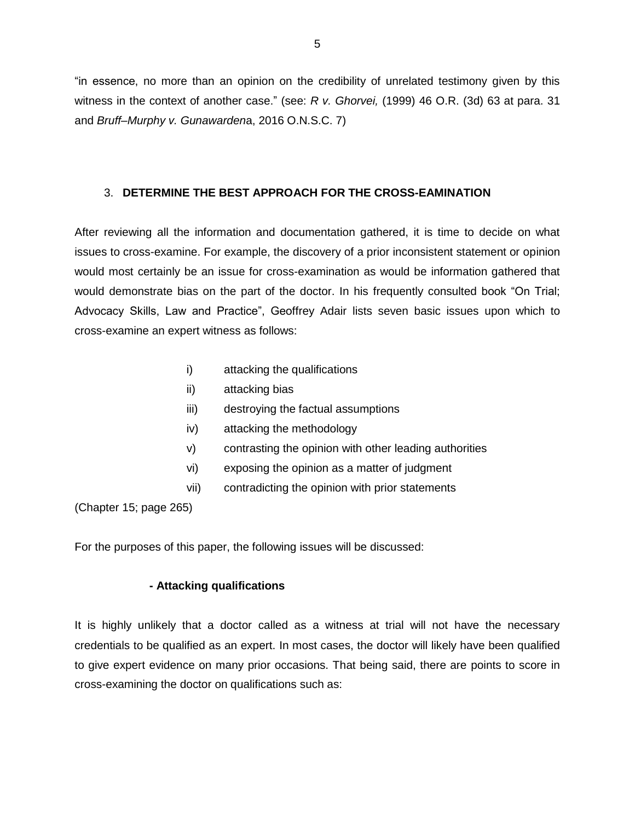"in essence, no more than an opinion on the credibility of unrelated testimony given by this witness in the context of another case." (see: *R v. Ghorvei,* (1999) 46 O.R. (3d) 63 at para. 31 and *Bruff–Murphy v. Gunawarden*a, 2016 O.N.S.C. 7)

### 3. **DETERMINE THE BEST APPROACH FOR THE CROSS-EAMINATION**

After reviewing all the information and documentation gathered, it is time to decide on what issues to cross-examine. For example, the discovery of a prior inconsistent statement or opinion would most certainly be an issue for cross-examination as would be information gathered that would demonstrate bias on the part of the doctor. In his frequently consulted book "On Trial; Advocacy Skills, Law and Practice", Geoffrey Adair lists seven basic issues upon which to cross-examine an expert witness as follows:

- i) attacking the qualifications
- ii) attacking bias
- iii) destroying the factual assumptions
- iv) attacking the methodology
- v) contrasting the opinion with other leading authorities
- vi) exposing the opinion as a matter of judgment
- vii) contradicting the opinion with prior statements

(Chapter 15; page 265)

For the purposes of this paper, the following issues will be discussed:

#### **- Attacking qualifications**

It is highly unlikely that a doctor called as a witness at trial will not have the necessary credentials to be qualified as an expert. In most cases, the doctor will likely have been qualified to give expert evidence on many prior occasions. That being said, there are points to score in cross-examining the doctor on qualifications such as: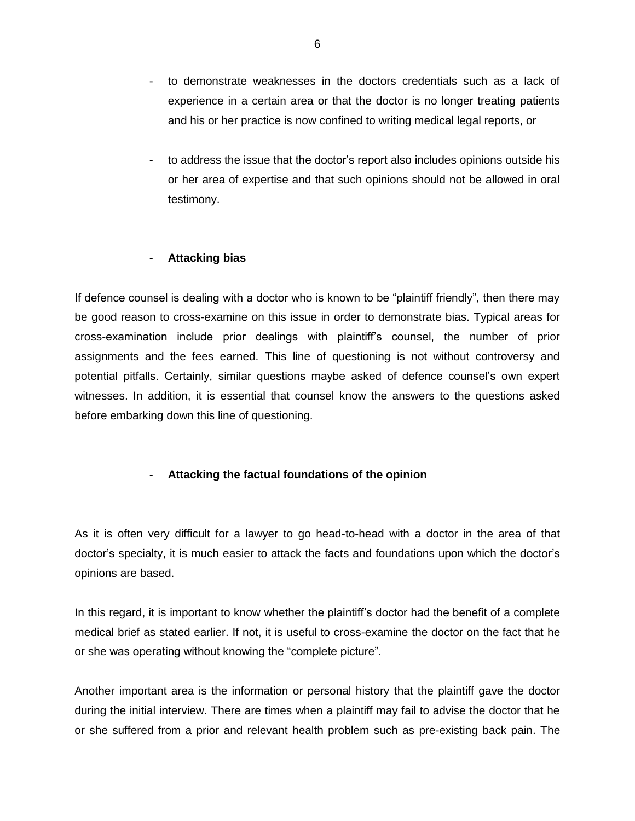- to demonstrate weaknesses in the doctors credentials such as a lack of experience in a certain area or that the doctor is no longer treating patients and his or her practice is now confined to writing medical legal reports, or
- to address the issue that the doctor's report also includes opinions outside his or her area of expertise and that such opinions should not be allowed in oral testimony.

#### - **Attacking bias**

If defence counsel is dealing with a doctor who is known to be "plaintiff friendly", then there may be good reason to cross-examine on this issue in order to demonstrate bias. Typical areas for cross-examination include prior dealings with plaintiff's counsel, the number of prior assignments and the fees earned. This line of questioning is not without controversy and potential pitfalls. Certainly, similar questions maybe asked of defence counsel's own expert witnesses. In addition, it is essential that counsel know the answers to the questions asked before embarking down this line of questioning.

### - **Attacking the factual foundations of the opinion**

As it is often very difficult for a lawyer to go head-to-head with a doctor in the area of that doctor's specialty, it is much easier to attack the facts and foundations upon which the doctor's opinions are based.

In this regard, it is important to know whether the plaintiff's doctor had the benefit of a complete medical brief as stated earlier. If not, it is useful to cross-examine the doctor on the fact that he or she was operating without knowing the "complete picture".

Another important area is the information or personal history that the plaintiff gave the doctor during the initial interview. There are times when a plaintiff may fail to advise the doctor that he or she suffered from a prior and relevant health problem such as pre-existing back pain. The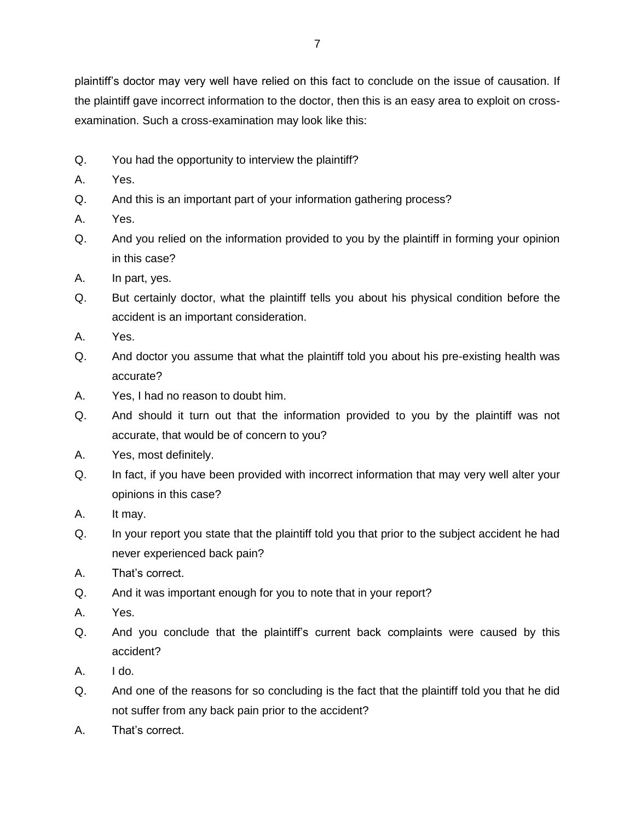plaintiff's doctor may very well have relied on this fact to conclude on the issue of causation. If the plaintiff gave incorrect information to the doctor, then this is an easy area to exploit on crossexamination. Such a cross-examination may look like this:

- Q. You had the opportunity to interview the plaintiff?
- A. Yes.
- Q. And this is an important part of your information gathering process?
- A. Yes.
- Q. And you relied on the information provided to you by the plaintiff in forming your opinion in this case?
- A. In part, yes.
- Q. But certainly doctor, what the plaintiff tells you about his physical condition before the accident is an important consideration.
- A. Yes.
- Q. And doctor you assume that what the plaintiff told you about his pre-existing health was accurate?
- A. Yes, I had no reason to doubt him.
- Q. And should it turn out that the information provided to you by the plaintiff was not accurate, that would be of concern to you?
- A. Yes, most definitely.
- Q. In fact, if you have been provided with incorrect information that may very well alter your opinions in this case?
- A. It may.
- Q. In your report you state that the plaintiff told you that prior to the subject accident he had never experienced back pain?
- A. That's correct.
- Q. And it was important enough for you to note that in your report?
- A. Yes.
- Q. And you conclude that the plaintiff's current back complaints were caused by this accident?
- A. I do.
- Q. And one of the reasons for so concluding is the fact that the plaintiff told you that he did not suffer from any back pain prior to the accident?
- A. That's correct.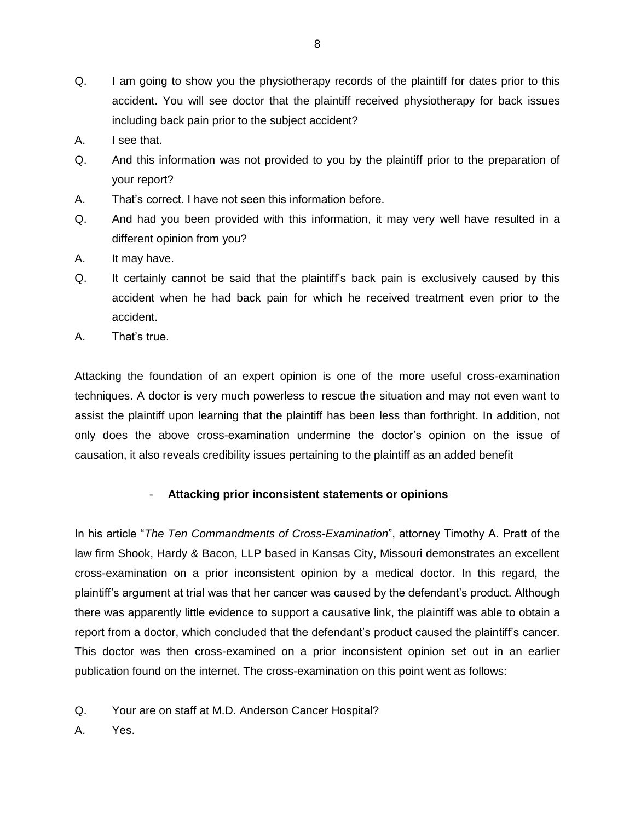- Q. I am going to show you the physiotherapy records of the plaintiff for dates prior to this accident. You will see doctor that the plaintiff received physiotherapy for back issues including back pain prior to the subject accident?
- A. I see that.
- Q. And this information was not provided to you by the plaintiff prior to the preparation of your report?
- A. That's correct. I have not seen this information before.
- Q. And had you been provided with this information, it may very well have resulted in a different opinion from you?
- A. It may have.
- Q. It certainly cannot be said that the plaintiff's back pain is exclusively caused by this accident when he had back pain for which he received treatment even prior to the accident.
- A. That's true.

Attacking the foundation of an expert opinion is one of the more useful cross-examination techniques. A doctor is very much powerless to rescue the situation and may not even want to assist the plaintiff upon learning that the plaintiff has been less than forthright. In addition, not only does the above cross-examination undermine the doctor's opinion on the issue of causation, it also reveals credibility issues pertaining to the plaintiff as an added benefit

### - **Attacking prior inconsistent statements or opinions**

In his article "*The Ten Commandments of Cross-Examination*", attorney Timothy A. Pratt of the law firm Shook, Hardy & Bacon, LLP based in Kansas City, Missouri demonstrates an excellent cross-examination on a prior inconsistent opinion by a medical doctor. In this regard, the plaintiff's argument at trial was that her cancer was caused by the defendant's product. Although there was apparently little evidence to support a causative link, the plaintiff was able to obtain a report from a doctor, which concluded that the defendant's product caused the plaintiff's cancer. This doctor was then cross-examined on a prior inconsistent opinion set out in an earlier publication found on the internet. The cross-examination on this point went as follows:

- Q. Your are on staff at M.D. Anderson Cancer Hospital?
- A. Yes.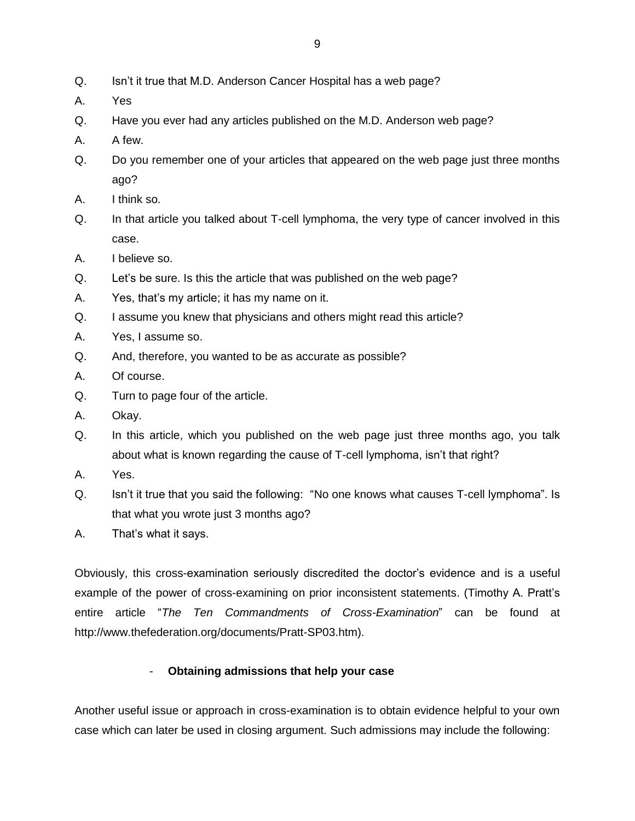- Q. Isn't it true that M.D. Anderson Cancer Hospital has a web page?
- A. Yes
- Q. Have you ever had any articles published on the M.D. Anderson web page?
- A. A few.
- Q. Do you remember one of your articles that appeared on the web page just three months ago?
- A. I think so.
- Q. In that article you talked about T-cell lymphoma, the very type of cancer involved in this case.
- A. I believe so.
- Q. Let's be sure. Is this the article that was published on the web page?
- A. Yes, that's my article; it has my name on it.
- Q. I assume you knew that physicians and others might read this article?
- A. Yes, I assume so.
- Q. And, therefore, you wanted to be as accurate as possible?
- A. Of course.
- Q. Turn to page four of the article.
- A. Okay.
- Q. In this article, which you published on the web page just three months ago, you talk about what is known regarding the cause of T-cell lymphoma, isn't that right?
- A. Yes.
- Q. Isn't it true that you said the following: "No one knows what causes T-cell lymphoma". Is that what you wrote just 3 months ago?
- A. That's what it says.

Obviously, this cross-examination seriously discredited the doctor's evidence and is a useful example of the power of cross-examining on prior inconsistent statements. (Timothy A. Pratt's entire article "*The Ten Commandments of Cross-Examination*" can be found at http://www.thefederation.org/documents/Pratt-SP03.htm).

### - **Obtaining admissions that help your case**

Another useful issue or approach in cross-examination is to obtain evidence helpful to your own case which can later be used in closing argument. Such admissions may include the following: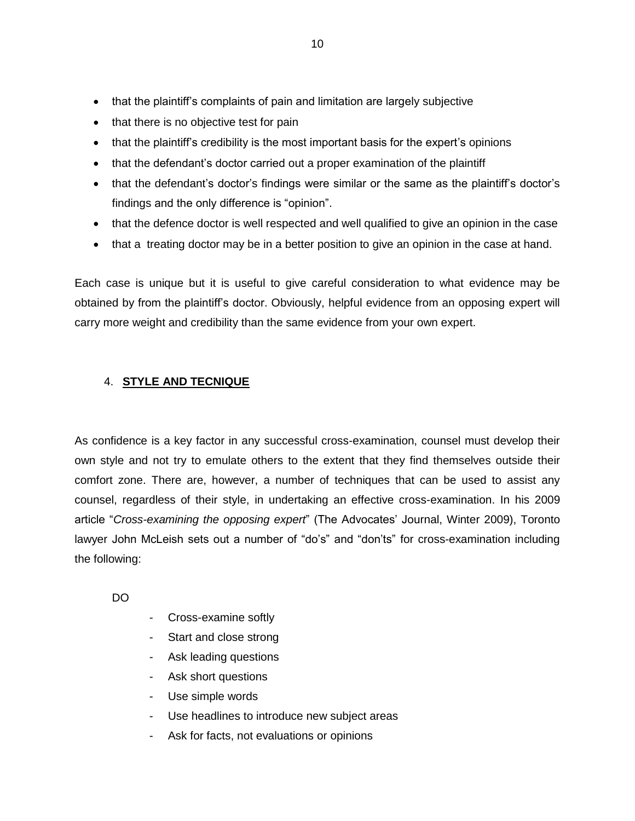- that the plaintiff's complaints of pain and limitation are largely subjective
- that there is no objective test for pain
- that the plaintiff's credibility is the most important basis for the expert's opinions
- that the defendant's doctor carried out a proper examination of the plaintiff
- that the defendant's doctor's findings were similar or the same as the plaintiff's doctor's findings and the only difference is "opinion".
- that the defence doctor is well respected and well qualified to give an opinion in the case
- that a treating doctor may be in a better position to give an opinion in the case at hand.

Each case is unique but it is useful to give careful consideration to what evidence may be obtained by from the plaintiff's doctor. Obviously, helpful evidence from an opposing expert will carry more weight and credibility than the same evidence from your own expert.

## 4. **STYLE AND TECNIQUE**

As confidence is a key factor in any successful cross-examination, counsel must develop their own style and not try to emulate others to the extent that they find themselves outside their comfort zone. There are, however, a number of techniques that can be used to assist any counsel, regardless of their style, in undertaking an effective cross-examination. In his 2009 article "*Cross-examining the opposing expert*" (The Advocates' Journal, Winter 2009), Toronto lawyer John McLeish sets out a number of "do's" and "don'ts" for cross-examination including the following:

DO

- Cross-examine softly
- Start and close strong
- Ask leading questions
- Ask short questions
- Use simple words
- Use headlines to introduce new subject areas
- Ask for facts, not evaluations or opinions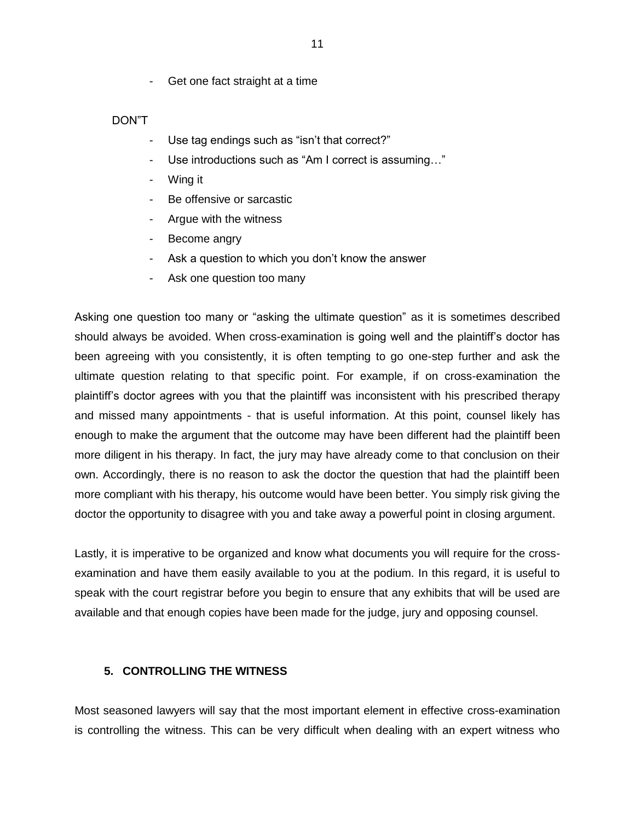- Get one fact straight at a time

### DON"T

- Use tag endings such as "isn't that correct?"
- Use introductions such as "Am I correct is assuming..."
- Wing it
- Be offensive or sarcastic
- Argue with the witness
- Become angry
- Ask a question to which you don't know the answer
- Ask one question too many

Asking one question too many or "asking the ultimate question" as it is sometimes described should always be avoided. When cross-examination is going well and the plaintiff's doctor has been agreeing with you consistently, it is often tempting to go one-step further and ask the ultimate question relating to that specific point. For example, if on cross-examination the plaintiff's doctor agrees with you that the plaintiff was inconsistent with his prescribed therapy and missed many appointments - that is useful information. At this point, counsel likely has enough to make the argument that the outcome may have been different had the plaintiff been more diligent in his therapy. In fact, the jury may have already come to that conclusion on their own. Accordingly, there is no reason to ask the doctor the question that had the plaintiff been more compliant with his therapy, his outcome would have been better. You simply risk giving the doctor the opportunity to disagree with you and take away a powerful point in closing argument.

Lastly, it is imperative to be organized and know what documents you will require for the crossexamination and have them easily available to you at the podium. In this regard, it is useful to speak with the court registrar before you begin to ensure that any exhibits that will be used are available and that enough copies have been made for the judge, jury and opposing counsel.

#### **5. CONTROLLING THE WITNESS**

Most seasoned lawyers will say that the most important element in effective cross-examination is controlling the witness. This can be very difficult when dealing with an expert witness who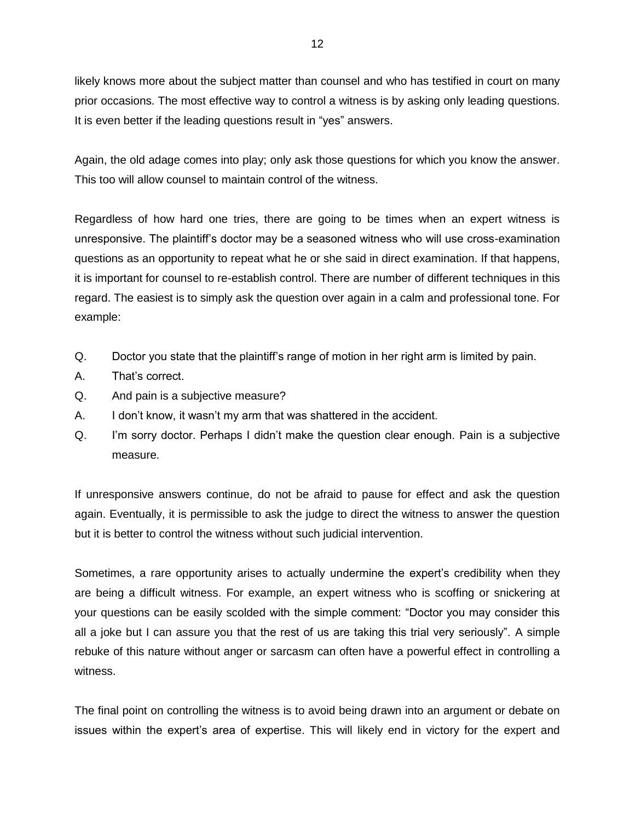likely knows more about the subject matter than counsel and who has testified in court on many prior occasions. The most effective way to control a witness is by asking only leading questions. It is even better if the leading questions result in "yes" answers.

Again, the old adage comes into play; only ask those questions for which you know the answer. This too will allow counsel to maintain control of the witness.

Regardless of how hard one tries, there are going to be times when an expert witness is unresponsive. The plaintiff's doctor may be a seasoned witness who will use cross-examination questions as an opportunity to repeat what he or she said in direct examination. If that happens, it is important for counsel to re-establish control. There are number of different techniques in this regard. The easiest is to simply ask the question over again in a calm and professional tone. For example:

- Q. Doctor you state that the plaintiff's range of motion in her right arm is limited by pain.
- A. That's correct.
- Q. And pain is a subjective measure?
- A. I don't know, it wasn't my arm that was shattered in the accident.
- Q. I'm sorry doctor. Perhaps I didn't make the question clear enough. Pain is a subjective measure.

If unresponsive answers continue, do not be afraid to pause for effect and ask the question again. Eventually, it is permissible to ask the judge to direct the witness to answer the question but it is better to control the witness without such judicial intervention.

Sometimes, a rare opportunity arises to actually undermine the expert's credibility when they are being a difficult witness. For example, an expert witness who is scoffing or snickering at your questions can be easily scolded with the simple comment: "Doctor you may consider this all a joke but I can assure you that the rest of us are taking this trial very seriously". A simple rebuke of this nature without anger or sarcasm can often have a powerful effect in controlling a witness.

The final point on controlling the witness is to avoid being drawn into an argument or debate on issues within the expert's area of expertise. This will likely end in victory for the expert and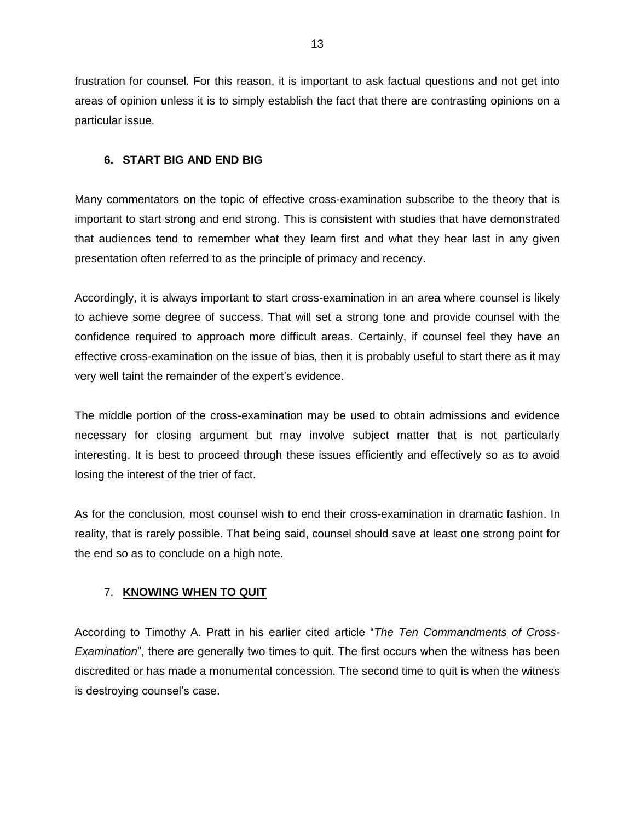frustration for counsel. For this reason, it is important to ask factual questions and not get into areas of opinion unless it is to simply establish the fact that there are contrasting opinions on a particular issue.

## **6. START BIG AND END BIG**

Many commentators on the topic of effective cross-examination subscribe to the theory that is important to start strong and end strong. This is consistent with studies that have demonstrated that audiences tend to remember what they learn first and what they hear last in any given presentation often referred to as the principle of primacy and recency.

Accordingly, it is always important to start cross-examination in an area where counsel is likely to achieve some degree of success. That will set a strong tone and provide counsel with the confidence required to approach more difficult areas. Certainly, if counsel feel they have an effective cross-examination on the issue of bias, then it is probably useful to start there as it may very well taint the remainder of the expert's evidence.

The middle portion of the cross-examination may be used to obtain admissions and evidence necessary for closing argument but may involve subject matter that is not particularly interesting. It is best to proceed through these issues efficiently and effectively so as to avoid losing the interest of the trier of fact.

As for the conclusion, most counsel wish to end their cross-examination in dramatic fashion. In reality, that is rarely possible. That being said, counsel should save at least one strong point for the end so as to conclude on a high note.

## 7. **KNOWING WHEN TO QUIT**

According to Timothy A. Pratt in his earlier cited article "*The Ten Commandments of Cross-Examination*", there are generally two times to quit. The first occurs when the witness has been discredited or has made a monumental concession. The second time to quit is when the witness is destroying counsel's case.